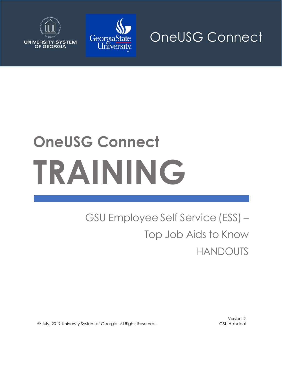

**UNIVERSITY SYSTEM** OF GEORGIA



# **OneUSG Connect TRAINING**

# GSU Employee Self Service(ESS) – Top Job Aids to Know HANDOUTS

© July, 2019 University System of Georgia. All Rights Reserved. GSU Handout

Version 2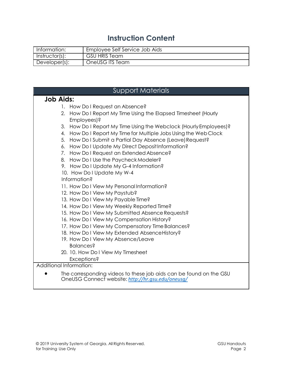# **Instruction Content**

| Information:   | Employee Self Service Job Aids |
|----------------|--------------------------------|
| Instructor(s): | GSU HRIS Team                  |
| Developer(s):  | OneUSG ITS Team                |

|                         | <b>Support Materials</b>                                                                                                |
|-------------------------|-------------------------------------------------------------------------------------------------------------------------|
| <b>Job Aids:</b>        |                                                                                                                         |
|                         | 1. How Dol Request an Absence?                                                                                          |
|                         | 2. How Do I Report My Time Using the Elapsed Timesheet (Hourly                                                          |
|                         | Employees)?                                                                                                             |
| 3.                      | How Do I Report My Time Using the Webclock (Hourly Employees)?                                                          |
| 4.                      | How Do I Report My Time for Multiple Jobs Using the Web Clock                                                           |
| 5.                      | How Do I Submit a Partial Day Absence (Leave) Request?                                                                  |
| 6.                      | How Do I Update My Direct Deposit Information?                                                                          |
|                         | 7. How Do I Request an Extended Absence?                                                                                |
|                         | 8. How Do I Use the Paycheck Modeler?                                                                                   |
|                         | 9. How Do I Update My G-4 Information?                                                                                  |
|                         | 10. How Do I Update My W-4                                                                                              |
|                         | Information?                                                                                                            |
|                         | 11. How Do I View My Personal Information?                                                                              |
|                         | 12. How Do I View My Paystub?                                                                                           |
|                         | 13. How Do I View My Payable Time?                                                                                      |
|                         | 14. How Do I View My Weekly Reported Time?                                                                              |
|                         | 15. How Do I View My Submitted Absence Requests?                                                                        |
|                         | 16. How Do I View My Compensation History?                                                                              |
|                         | 17. How Do I View My Compensatory Time Balances?                                                                        |
|                         | 18. How Do I View My Extended Absence History?                                                                          |
|                         | 19. How Do I View My Absence/Leave                                                                                      |
|                         | Balances?                                                                                                               |
|                         | 20. 10. How Do I View My Timesheet                                                                                      |
|                         | Exceptions?                                                                                                             |
| Additional Information: |                                                                                                                         |
|                         | The corresponding videos to these job aids can be found on the GSU<br>OneUSG Connect website: http://hr.gsu.edu/oneusg/ |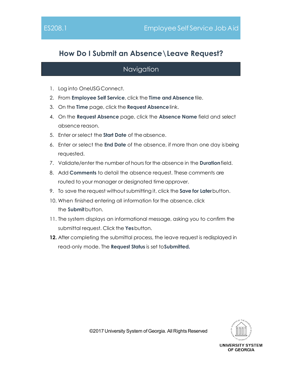# **How Do I Submit an Absence\Leave Request?**

#### Navigation

- 1. Log into OneUSGConnect.
- 2. From **Employee Self Service**, click the **Time and Absence**tile.
- 3. On the **Time** page, click the **Request Absence**link.
- 4. On the **Request Absence** page, click the **Absence Name** field and select absence reason.
- 5. Enter or select the **Start Date** of theabsence.
- 6. Enter or select the **End Date** of the absence, if more than one day isbeing requested.
- 7. Validate/enter the number of hours for the absence in the **Duration**field.
- 8. Add **Comments** to detail the absence request. These comments are routed to your manager or designated time approver.
- 9. To save the request without submitting it, click the **Save for Later** button.
- 10. When finished entering all information for the absence, click the **Submit**button.
- 11. The system displays an informational message, asking you to confirm the submittal request. Click the **Yes**button.
- **12.** After completing the submittal process, the leave request is redisplayed in read-only mode. The **Request Status** is set to**Submitted.**

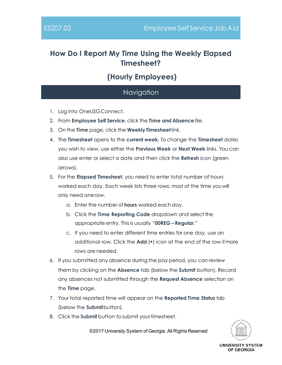# **How Do I Report My Time Using the Weekly Elapsed Timesheet?**

# **(Hourly Employees)**

#### Navigation

- 1. Log into OneUSGConnect.
- 2. From **Employee Self Service**, click the **Time and Absence**tile.
- 3. On the **Time** page, click the **WeeklyTimesheet**link.
- 4. The **Timesheet** opens to the **current week**. To change the **Timesheet** dates you wish to view, use either the **Previous Week** or **Next Week** links. You can also use enter or select a date and then click the **Refresh** icon (green arrows).
- 5. For the **Elapsed Timesheet**, you need to enter total number of hours worked each day. Each week lists three rows; most of the time youwill only need onerow.
	- a. Enter the number of **hours** worked each day.
	- b. Click the **Time Reporting Code** dropdown and select the appropriate entry. Thisis usually "**00REG – Regular.**"
	- c. If you need to enter different time entries for one day, use an additional row. Click the **Add** (**+**) icon at the end of the row if more rows are needed.
- 6. If you submitted any absence during the pay period, you can review them by clicking on the **Absence** tab (below the **Submit** button). Record any absences not submitted through the **Request Absence** selection on the **Time** page.
- 7. Your total reported time will appear on the **Reported Time Status** tab (below the **Submit**button).
- 8. Click the **Submit** button to submit yourtimesheet.

©2017 University System of Georgia. All Rights Reserved



UNIVERSITY SYSTEM OF GEORGIA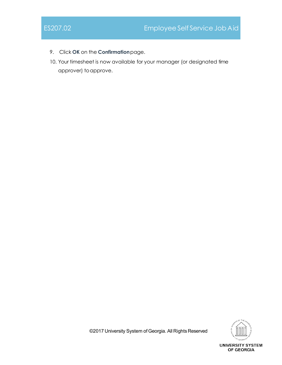- 9. Click **OK** on the **Confirmation**page.
- 10. Your timesheet is now available for your manager (or designated time approver) toapprove.



©2017 University System of Georgia. All Rights Reserved

**UNIVERSITY SYSTEM** OF GEORGIA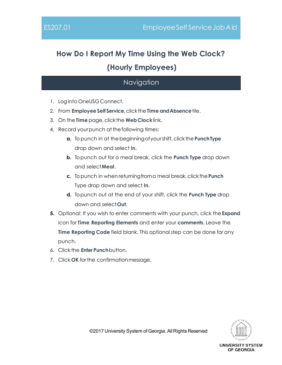# **How Do I Report My Time Using the Web Clock? (Hourly Employees)**

# **Navigation**

- 1. Loginto OneUSGConnect.
- 2. From **EmployeeSelf Service**,click the**Time andAbsence**tile.
- 3. On the**Time** page,click the **WebClock**link.
- 4. Record yourpunch at thefollowing times:
	- **a.** Topunch in at thebeginningofyourshift,click the**PunchType** drop down and select **In**.
	- **b.** To punch out for a meal break, click the **Punch Type** drop down and select**Meal**.
	- **c.** Topunch in when returningfroma meal break,click the**Punch** Type drop down and select **In**.
	- **d.** To punch out at the end of your shift, click the **Punch Type** drop down and select**Out**.
- **5.** Optional: If you wish to enter comments with your punch, click the**Expand** icon for **Time Reporting Elements** and enter your **comments**. Leave the **Time Reporting Code** field blank. This optionalstep can be done for any punch.
- 6. Click the **Enter Punch**button.
- 7. Click **OK** for the confirmationmessage.

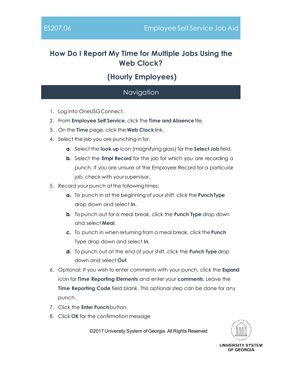# **How Do I Report My Time for Multiple Jobs Using the Web Clock?**

# **(Hourly Employees)**

#### Navigation

- 1. Log into OneUSGConnect.
- 2. From **Employee Self Service**, click the **Time and Absence**tile.
- 3. On the **Time** page, click the **Web Clock**link.
- 4. Select the job you are punching in for.
	- **a.** Select the **look up** icon (magnifying glass) for the **Select Job**field.
	- **b.** Select the **Empl Record** for the job for which you are recording a punch. If you are unsure of the Employee Record for a particular job, check with yoursupervisor.
- 5. Record your punch at the following times:
	- **a.** To punch in at the beginning of your shift, click the **PunchType** drop down and select **In**.
	- **b.** To punch out for a meal break, click the **Punch Type** drop down and select **Meal**.
	- **c.** To punch in when returning from a meal break, click the**Punch** Type drop down and select **In**.
	- **d.** To punch out at the end of your shift, click the **Punch Type** drop down and select **Out**.
- 6. Optional: If you wish to enter comments with your punch, click the **Expand** icon for **Time Reporting Elements** and enter your **comments**. Leave the **Time Reporting Code** field blank. This optional step can be done for any punch.
- 7. Click the **Enter Punch**button.
- 8. Click **OK** for the confirmation message

©2017 University System of Georgia. All Rights Reserved



UNIVERSITY SYSTEM OF GEORGIA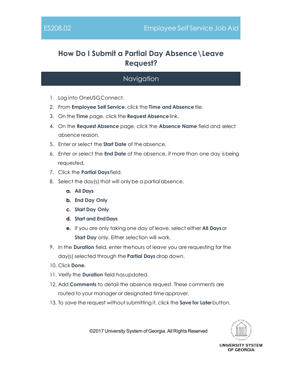# **How Do I Submit a Partial Day Absence\Leave Request?**

#### Navigation

- 1. Log into OneUSGConnect.
- 2. From **Employee Self Service**, click the **Time and Absence**tile.
- 3. On the **Time** page, click the **Request Absence**link.
- 4. On the **Request Absence** page, click the **Absence Name** field and select absence reason.
- 5. Enter or select the **Start Date** of theabsence.
- 6. Enter or select the **End Date** of the absence, if more than one day isbeing requested.
- 7. Click the **Partial Days**field.
- 8. Select the day(s) that will only be a partial absence.
	- **a. All Days**
	- **b. End Day Only**
	- **c. Start Day Only**
	- **d. Start and EndDays**
	- **e.** If you are only taking one day of leave, select either **All Days**or **Start Day** only. Either selection will work.
- 9. In the **Duration** field, enter thehours of leave you are requesting for the day(s) selected through the **Partial Days** drop down.
- 10. Click **Done**.
- 11. Verify the **Duration** field hasupdated.
- 12. Add **Comments** to detail the absence request. These comments are routed to your manager or designated time approver.
- 13. To save the request withoutsubmitting it, click the **Save for Later**button.



©2017 University System of Georgia. All Rights Reserved

UNIVERSITY SYSTEM OF GEORGIA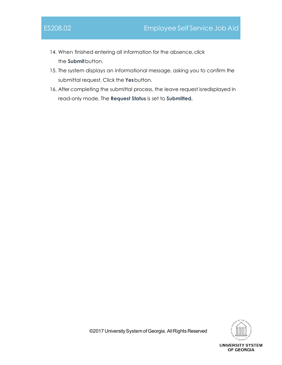- 14. When finished entering all information for the absence, click the **Submit**button.
- 15. The system displays an informational message, asking you to confirm the submittal request. Click the **Yes**button.
- 16. After completing the submittal process, the leave request isredisplayed in read-only mode. The **Request Status** is set to **Submitted.**

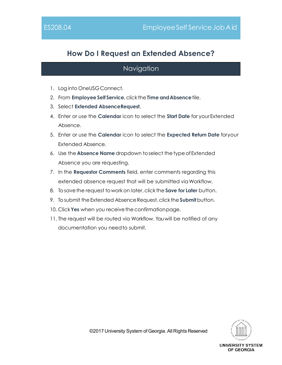# **How Do I Request an Extended Absence?**

#### Navigation

- 1. Loginto OneUSGConnect.
- 2. From **EmployeeSelf Service**,click the**Time andAbsence**tile.
- 3. Select **Extended AbsenceRequest**.
- 4. Enter or use the **Calendar** icon to select the **Start Date** for yourExtended Absence.
- 5. Enter or use the **Calendar** icon to select the **Expected Return Date** foryour Extended Absence.
- 6. Use the **Absence Name**dropdown toselect thetypeofExtended Absence you are requesting.
- 7. In the **Requestor Comments** field, enter comments regarding this extended absence request that will be submitted via Workflow.
- 8. Tosavethe request toworkon later,click the **Save for Later** button.
- 9. To submit the Extended Absence Request, click the **Submit** button.
- 10. Click Yes when you receive the confirmation page.
- 11. The request will be routed via Workflow. You will be notified of any documentation you needto submit.

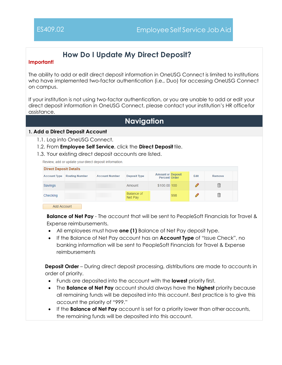# **How Do I Update My Direct Deposit?**

#### **Important!**

The ability to add or edit direct deposit information in OneUSG Connect is limited to institutions who have implemented two-factor authentication (i.e., Duo) for accessing OneUSG Connect on campus.

If your institution is not using two-factor authentication, or you are unable to add or edit your direct deposit information in OneUSG Connect, please contact your institution's HR officefor assistance.

### **Navigation**

#### **1. Add a Direct Deposit Account**

- 1.1. Log into OneUSG Connect.
- 1.2. From **Employee Self Service**, click the **Direct Deposit** tile.
- 1.3. Your existing direct deposit accounts are listed.

Review, add or update your direct deposit information.

| <b>Direct Deposit Details</b> |                       |                       |                       |                                                  |     |             |        |  |
|-------------------------------|-----------------------|-----------------------|-----------------------|--------------------------------------------------|-----|-------------|--------|--|
| <b>Account Type</b>           | <b>Routing Number</b> | <b>Account Number</b> | <b>Deposit Type</b>   | <b>Amount or Deposit</b><br><b>Percent Order</b> |     | <b>Edit</b> | Remove |  |
| Savings                       |                       |                       | Amount                | \$100.00 100                                     |     |             | 侖      |  |
| Checking                      |                       |                       | Balance of<br>Net Pay |                                                  | 998 |             | 侖      |  |

Add Account

**Balance of Net Pay** - The account that will be sent to PeopleSoft Financials for Travel & Expense reimbursements.

- All employees must have **one (1)** Balance of Net Pay deposit type.
- If the Balance of Net Pay account has an **Account Type** of "Issue Check", no banking information will be sent to PeopleSoft Financials for Travel & Expense reimbursements

**Deposit Order** – During direct deposit processing, distributions are made to accounts in order of priority.

- Funds are deposited into the account with the **lowest** priority first.
- The **Balance of Net Pay** account should always have the **highest** priority because all remaining funds will be deposited into this account. Best practice is to give this account the priority of "999."
- If the **Balance of Net Pay** account is set for a priority lower than other accounts, the remaining funds will be deposited into this account.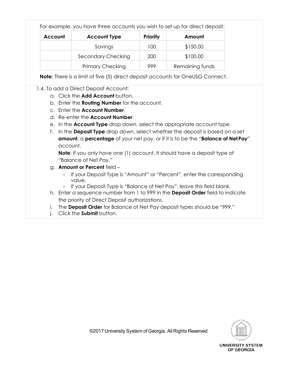|                | For example, you have three accounts you wish to set up for direct deposit: |                 |                 |
|----------------|-----------------------------------------------------------------------------|-----------------|-----------------|
| <b>Account</b> | <b>Account Type</b>                                                         | <b>Priority</b> | Amount          |
|                | Savings                                                                     | 100             | \$150.00        |
|                | Secondary Checking                                                          | 200             | \$100.00        |
|                | <b>Primary Checking</b>                                                     | 999             | Remaining funds |

**Note:** There is a limit of five (5) direct deposit accounts for OneUSG Connect.

#### 1.4. To add a Direct Deposit Account:

- a. Click the **Add Account** button.
- b. Enter the **Routing Number** for the account.
- c. Enter the **Account Number**.
- d. Re-enter the **Account Number**.
- e. In the **Account Type** drop down, select the appropriate account type.
- f. In the **Deposit Type** drop down, select whether the deposit is based on a set **amount**, a **percentage** of your net pay, or if it is to be the "**Balance of NetPay**" account.

**Note**: If you only have one (1) account, it should have a deposit type of "Balance of Net Pay."

- g. **Amount or Percent** field
	- If your Deposit Type is "Amount" or "Percent", enter the corresponding value.
	- If your Deposit Type is "Balance of Net Pay", leave this field blank.
- h. Enter a sequence number from 1 to 999 in the **Deposit Order** field to indicate the priority of Direct Deposit authorizations.
- i. The **Deposit Order** for Balance of Net Pay deposit types should be "999."
- j. Click the **Submit** button.

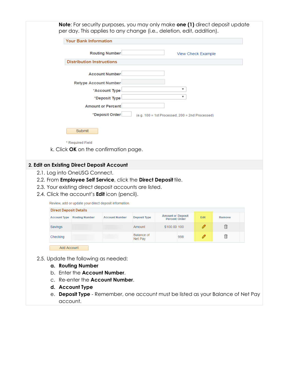| Direct Deposit Details |                       |                       |                       |                                                  |     |      |        |  |
|------------------------|-----------------------|-----------------------|-----------------------|--------------------------------------------------|-----|------|--------|--|
| <b>Account Type</b>    | <b>Routing Number</b> | <b>Account Number</b> | <b>Deposit Type</b>   | <b>Amount or Deposit</b><br><b>Percent Order</b> |     | Edit | Remove |  |
| Savings                |                       |                       | Amount                | \$100.00 100                                     |     |      | 侖      |  |
| Checking               |                       |                       | Balance of<br>Net Pay |                                                  | 998 |      | 侖      |  |

- 2.5. Update the following as needed:
	- **a. Routing Number**

Add Account

- b. Enter the **Account Number**.
- c. Re-enter the **Account Number**.
- **d. Account Type**
- e. **Deposit Type**  Remember, one account must be listed as your Balance of Net Pay account.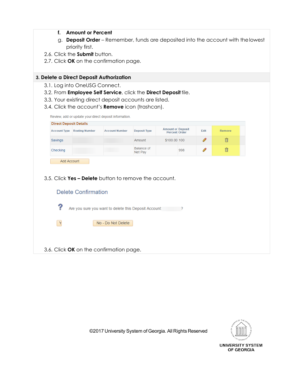- **f. Amount or Percent**
- g. **Deposit Order**  Remember, funds are deposited into the account with thelowest priority first.
- 2.6. Click the **Submit** button.
- 2.7. Click **OK** on the confirmation page.

#### **3. Delete a Direct Deposit Authorization**

- 3.1. Log into OneUSG Connect.
- 3.2. From **Employee Self Service**, click the **Direct Deposit** tile.
- 3.3. Your existing direct deposit accounts are listed.
- 3.4. Click the account's **Remove** icon (trashcan).

Review, add or update your direct deposit information.

| <b>Account Type</b> | <b>Routing Number</b>      | <b>Account Number</b>                                 | <b>Deposit Type</b>   | <b>Amount or Deposit</b><br><b>Percent Order</b> |     | Edit | <b>Remove</b> |
|---------------------|----------------------------|-------------------------------------------------------|-----------------------|--------------------------------------------------|-----|------|---------------|
| Savings             |                            |                                                       | Amount                | \$100.00 100                                     |     | O    | 俞             |
| Checking            |                            |                                                       | Balance of<br>Net Pay |                                                  | 998 | O    | 俞             |
| <b>Add Account</b>  |                            |                                                       |                       |                                                  |     |      |               |
|                     |                            |                                                       |                       |                                                  |     |      |               |
|                     |                            |                                                       |                       |                                                  |     |      |               |
|                     |                            |                                                       |                       |                                                  |     |      |               |
|                     |                            | 3.5. Click Yes – Delete button to remove the account. |                       |                                                  |     |      |               |
|                     |                            |                                                       |                       |                                                  |     |      |               |
|                     | <b>Delete Confirmation</b> |                                                       |                       |                                                  |     |      |               |
|                     |                            |                                                       |                       |                                                  |     |      |               |
| ?                   |                            | Are you sure you want to delete this Deposit Account: |                       |                                                  | 7   |      |               |
|                     |                            |                                                       |                       |                                                  |     |      |               |
| $\mathbf{Y}$        |                            | No - Do Not Delete                                    |                       |                                                  |     |      |               |
|                     |                            |                                                       |                       |                                                  |     |      |               |



©2017 University System of Georgia. All Rights Reserved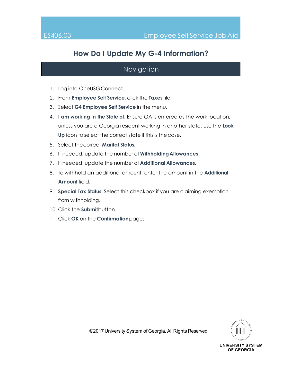# **How Do I Update My G-4 Information?**

- 1. Log into OneUSGConnect.
- 2. From **Employee Self Service**, click the **Taxes** tile.
- 3. Select **G4 Employee Self Service** in the menu.
- 4. **I am working in the State of**: Ensure GA is entered as the work location, unless you are a Georgia resident working in another state. Use the **Look Up** icon to select the correct state if this is thecase.
- 5. Select thecorrect **Marital Status**.
- 6. If needed, update the number of **WithholdingAllowances**.
- 7. If needed, update the number of **Additional Allowances**.
- 8. To withhold an additional amount, enter the amount in the **Additional Amount** field.
- 9. **Special Tax Status:** Select this checkbox if you are claiming exemption from withholding.
- 10. Click the **Submit**button.
- 11. Click **OK** on the **Confirmation**page.

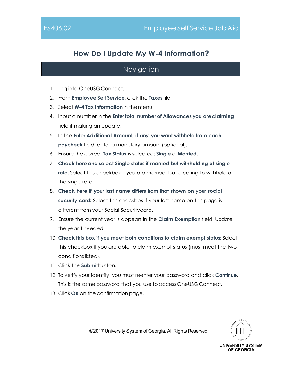# **How Do I Update My W-4 Information?**

#### Navigation

- 1. Log into OneUSGConnect.
- 2. From **Employee Self Service**, click the **Taxes** tile.
- 3. Select **W-4 Tax Information** in themenu.
- **4.** Input a number in the **Enter total number of Allowances you areclaiming** field if making an update.
- 5. In the **Enter Additional Amount, if any, you want withheld from each paycheck** field, enter a monetary amount (optional).
- 6. Ensure the correct **Tax Status** is selected: **Single** or**Married**.
- 7. **Check here and select Single status if married but withholding at single rate**: Select this checkbox if you are married, but electing to withhold at the singlerate.
- 8. **Check here if your last name differs from that shown on your social security card:** Select this checkbox if your last name on this page is different from your Social Securitycard.
- 9. Ensure the current year is appears in the **Claim Exemption** field. Update the year if needed.
- 10. **Check this box if you meet both conditions to claim exempt status:** Select this checkbox if you are able to claim exempt status (must meet the two conditions listed).
- 11. Click the **Submit**button.
- 12. To verify your identity, you must reenter your password and click **Continue**. This is the same password that you use to access OneUSGConnect.
- 13. Click **OK** on the confirmation page.



©2017 University System of Georgia. All Rights Reserved

UNIVERSITY SYSTEM OF GEORGIA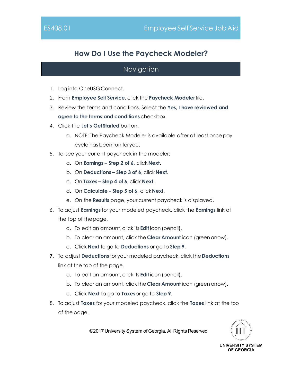# **How Do I Use the Paycheck Modeler?**

#### **Navigation**

- 1. Log into OneUSGConnect.
- 2. From **Employee Self Service**, click the **Paycheck Modeler**tile.
- 3. Review the terms and conditions. Select the **Yes, I have reviewed and agree to the terms and conditions** checkbox.
- 4. Click the **Let's GetStarted** button.
	- a. NOTE: The Paycheck Modeler is available after at least once pay cycle has been run foryou.
- 5. To see your current paycheck in the modeler:
	- a. On **Earnings – Step 2 of 6**, click **Next**.
	- b. On **Deductions – Step 3 of 6**, click**Next**.
	- c. On **Taxes – Step 4 of 6**, click **Next**.
	- d. On **Calculate – Step 5 of 6**, click**Next**.
	- e. On the **Results** page, your current paycheck is displayed.
- 6. To adjust **Earnings** for your modeled paycheck, click the **Earnings** link at the top of thepage.
	- a. To edit an amount,click its **Edit** icon (pencil).
	- b. To clear an amount, click the**Clear Amount** icon (green arrow).
	- c. Click **Next** to go to **Deductions** or go to **Step 9**.
- **7.** To adjust **Deductions** for your modeled paycheck,click the **Deductions** link at the top of the page.
	- a. To edit an amount,click its **Edit** icon (pencil).
	- b. To clear an amount, click the**Clear Amount** icon (green arrow).
	- c. Click **Next** to go to **Taxes**or go to **Step 9**.
- 8. To adjust **Taxes** for your modeled paycheck, click the **Taxes** link at the top of the page.



©2017 University System of Georgia. All Rights Reserved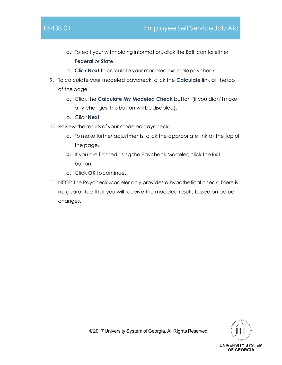- a. To edit your withholding information,click the **Edit** icon foreither **Federal** or **State**.
- b. Click **Next** to calculate your modeled examplepaycheck.
- 9. To calculate your modeled paycheck, click the **Calculate** link at thetop of the page.
	- a. Click the **Calculate My Modeled Check** button (if you didn'tmake any changes, this button will be disabled).
	- b. Click **Next**.
- 10. Review the results of your modeled paycheck.
	- a. To make further adjustments, click the appropriate link at the top of the page.
	- **b.** If you are finished using the Paycheck Modeler, click the **Exit** button.
	- c. Click **OK** tocontinue.
- 11. NOTE: The Paycheck Modeler only provides a hypothetical check. There is no guarantee that you will receive the modeled results based on actual changes.

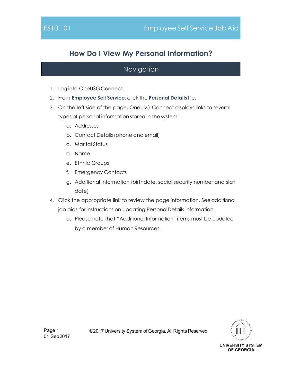# **How Do I View My Personal Information?**

- 1. Log into OneUSGConnect.
- 2. From **Employee Self Service**, click the **Personal Details** tile.
- 3. On the left side of the page, OneUSG Connect displays links to several types of personal information stored in the system:
	- a. Addresses
	- b. Contact Details(phone and email)
	- c. Marital Status
	- d. Name
	- e. Ethnic Groups
	- f. Emergency Contacts
	- g. Additional Information (birthdate, social security number and start date)
- 4. Click the appropriate link to review the page information. Seeadditional job aids for instructions on updating PersonalDetails information.
	- a. Please note that "Additional Information" items must be updated by a member of Human Resources.

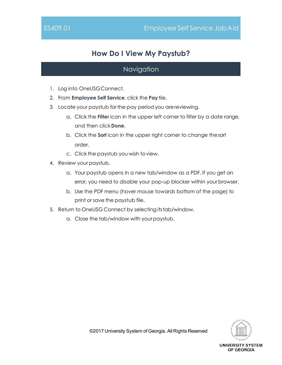# **How Do I View My Paystub?**

- 1. Log into OneUSGConnect.
- 2. From **Employee Self Service**, click the **Pay**tile.
- 3. Locate your paystub for the pay period you arereviewing.
	- a. Click the **Filter** icon in the upper left corner to filter by a date range, and then click**Done**.
	- b. Click the **Sort** icon in the upper right corner to change thesort order.
	- c. Click the paystub you wish toview.
- 4. Review your paystub.
	- a. Your paystub opens in a new tab/window as a PDF. If you get an error, you need to disable your pop-up blocker within your browser.
	- b. Use the PDF menu (hover mouse towards bottom of the page) to print or save the paystub file.
- 5. Return to OneUSG Connect by selecting itstab/window.
	- a. Close the tab/window with yourpaystub.

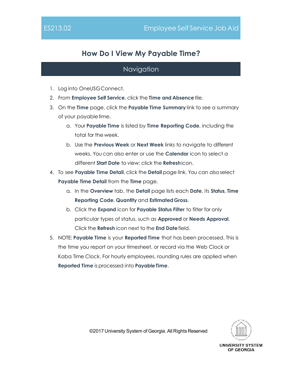# **How Do I View My Payable Time?**

#### Navigation

- 1. Log into OneUSGConnect.
- 2. From **Employee Self Service**, click the **Time and Absence**tile.
- 3. On the **Time** page, click the **Payable Time Summary** link to see a summary of your payabletime.
	- a. Your **Payable Time** is listed by **Time Reporting Code**, including the total for the week.
	- b. Use the **Previous Week** or **Next Week** links to navigate to different weeks. You can also enter or use the **Calendar** icon to select a different **Start Date** to view; click the **Refresh**icon.
- 4. To see **Payable Time Detail**, click the **Detail** page link. You can alsoselect **Payable Time Detail** from the **Time** page.
	- a. In the **Overview** tab, the **Detail** page lists each **Date**, its **Status**, **Time Reporting Code**, **Quantity** and **EstimatedGross**.
	- b. Click the **Expand** icon for **Payable Status Filter** to filter for only particular types of status, such as **Approved** or **Needs Approval**. Click the **Refresh** icon next to the **End Date**field.
- 5. NOTE: **Payable Time** is your **Reported Time** that has been processed. This is the time you report on your timesheet, or record via the Web Clock or Kaba Time Clock. For hourly employees, rounding rules are applied when **Reported Time** is processed into **PayableTime**.

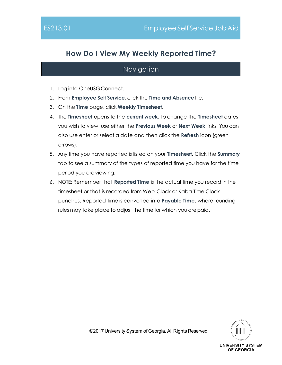# **How Do I View My Weekly Reported Time?**

- 1. Log into OneUSGConnect.
- 2. From **Employee Self Service**, click the **Time and Absence**tile.
- 3. On the **Time** page, click **Weekly Timesheet**.
- 4. The **Timesheet** opens to the **current week**. To change the **Timesheet** dates you wish to view, use either the **Previous Week** or **Next Week** links. You can also use enter or select a date and then click the **Refresh** icon (green arrows).
- 5. Any time you have reported is listed on your **Timesheet**. Click the **Summary** tab to see a summary of the types of reported time you have for the time period you are viewing.
- 6. NOTE: Remember that **Reported Time** is the actual time you record in the timesheet or that is recorded from Web Clock or Kaba Time Clock punches. Reported Time is converted into **Payable Time**, where rounding rules may take place to adjust the time for which you are paid.

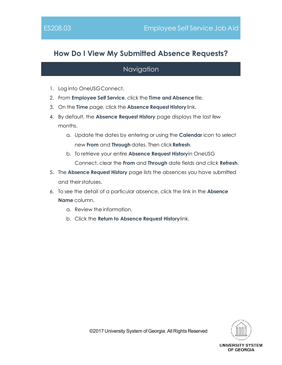# **How Do I View My Submitted Absence Requests?**

- 1. Log into OneUSGConnect.
- 2. From **Employee Self Service**, click the **Time and Absence**tile.
- 3. On the **Time** page, click the **Absence Request History**link.
- 4. By default, the **Absence Request History** page displays the last few months.
	- a. Update the dates by entering or using the **Calendar** icon to select new **From** and **Through** dates. Then click**Refresh**.
	- b. To retrieve your entire **Absence Request History**in OneUSG Connect, clear the **From** and **Through** date fields and click **Refresh**.
- 5. The **Absence Request History** page lists the absences you have submitted and theirstatuses.
- 6. To see the detail of a particular absence, click the link in the **Absence Name** column.
	- a. Review the information.
	- b. Click the **Return to Absence Request History**link.

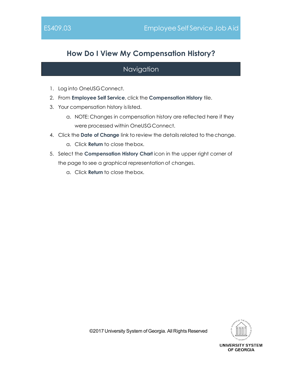# **How Do I View My Compensation History?**

#### Navigation

- 1. Log into OneUSGConnect.
- 2. From **Employee Self Service**, click the **Compensation History** tile.
- 3. Your compensation history islisted.
	- a. NOTE: Changes in compensation history are reflected here if they were processed within OneUSGConnect.
- 4. Click the **Date of Change** link to review the details related to thechange.
	- a. Click **Return** to close thebox.
- 5. Select the **Compensation History Chart** icon in the upper right corner of the page to see a graphical representation of changes.
	- a. Click **Return** to close thebox.

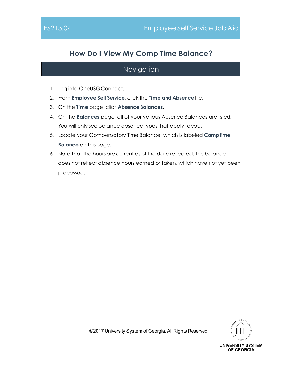# **How Do I View My Comp Time Balance?**

- 1. Log into OneUSGConnect.
- 2. From **Employee Self Service**, click the **Time and Absence**tile.
- 3. On the **Time** page, click **AbsenceBalances**.
- 4. On the **Balances** page, all of your various Absence Balances are listed. You will only see balance absence types that apply to you.
- 5. Locate your Compensatory Time Balance, which is labeled **Comp time Balance** on thispage.
- 6. Note that the hours are current as of the date reflected. The balance does not reflect absence hours earned or taken, which have not yet been processed.

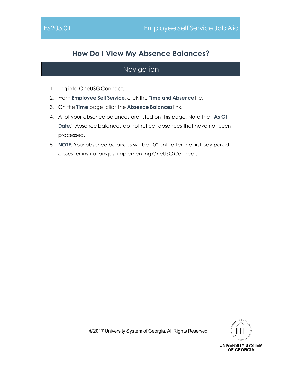# **How Do I View My Absence Balances?**

#### Navigation

- 1. Log into OneUSGConnect.
- 2. From **Employee Self Service**, click the **Time and Absence**tile.
- 3. On the **Time** page, click the **Absence Balances** link.
- 4. All of your absence balances are listed on this page. Note the "**As Of Date**." Absence balances do not reflect absences that have not been processed.
- 5. **NOTE**: Your absence balances will be "0" until after the first pay period closes for institutions just implementing OneUSGConnect.

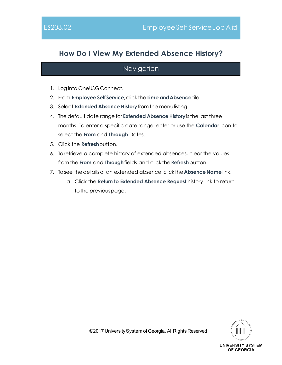# **How Do I View My Extended Absence History?**

### Navigation

- 1. Loginto OneUSGConnect.
- 2. From **EmployeeSelf Service**,click the**Time andAbsence**tile.
- 3. Select **Extended Absence History**from the menulisting.
- 4. The default date range for **Extended Absence History** is the last three months. To enter a specific date range, enter or use the **Calendar** icon to select the **From** and **Through** Dates.
- 5. Click the **Refresh**button.
- 6. To retrieve a complete history of extended absences, clear the values from the **From** and **Through**fields and click the**Refresh**button.
- 7. To see the details of an extended absence, click the **Absence Name** link.
	- a. Click the **Return to Extended Absence Request** history link to return to the previous page.